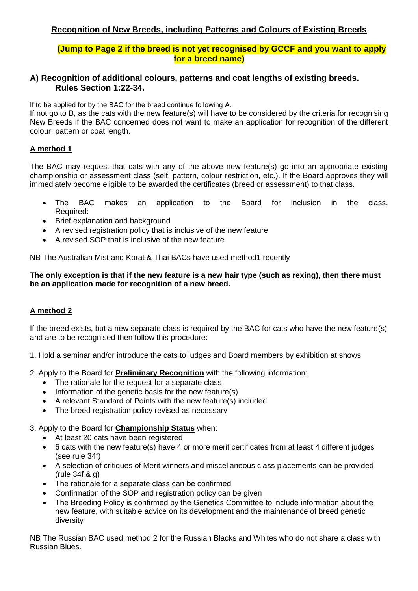# **(Jump to Page 2 if the breed is not yet recognised by GCCF and you want to apply for a breed name)**

## **A) Recognition of additional colours, patterns and coat lengths of existing breeds. Rules Section 1:22-34.**

If to be applied for by the BAC for the breed continue following A.

If not go to B, as the cats with the new feature(s) will have to be considered by the criteria for recognising New Breeds if the BAC concerned does not want to make an application for recognition of the different colour, pattern or coat length.

## **A method 1**

The BAC may request that cats with any of the above new feature(s) go into an appropriate existing championship or assessment class (self, pattern, colour restriction, etc.). If the Board approves they will immediately become eligible to be awarded the certificates (breed or assessment) to that class.

- The BAC makes an application to the Board for inclusion in the class. Required:
- Brief explanation and background
- A revised registration policy that is inclusive of the new feature
- A revised SOP that is inclusive of the new feature

NB The Australian Mist and Korat & Thai BACs have used method1 recently

#### **The only exception is that if the new feature is a new hair type (such as rexing), then there must be an application made for recognition of a new breed.**

# **A method 2**

If the breed exists, but a new separate class is required by the BAC for cats who have the new feature(s) and are to be recognised then follow this procedure:

- 1. Hold a seminar and/or introduce the cats to judges and Board members by exhibition at shows
- 2. Apply to the Board for **Preliminary Recognition** with the following information:
	- The rationale for the request for a separate class
	- Information of the genetic basis for the new feature(s)
	- A relevant Standard of Points with the new feature(s) included
	- The breed registration policy revised as necessary

#### 3. Apply to the Board for **Championship Status** when:

- At least 20 cats have been registered
- 6 cats with the new feature(s) have 4 or more merit certificates from at least 4 different judges (see rule 34f)
- A selection of critiques of Merit winners and miscellaneous class placements can be provided (rule 34f & g)
- The rationale for a separate class can be confirmed
- Confirmation of the SOP and registration policy can be given
- The Breeding Policy is confirmed by the Genetics Committee to include information about the new feature, with suitable advice on its development and the maintenance of breed genetic diversity

NB The Russian BAC used method 2 for the Russian Blacks and Whites who do not share a class with Russian Blues.